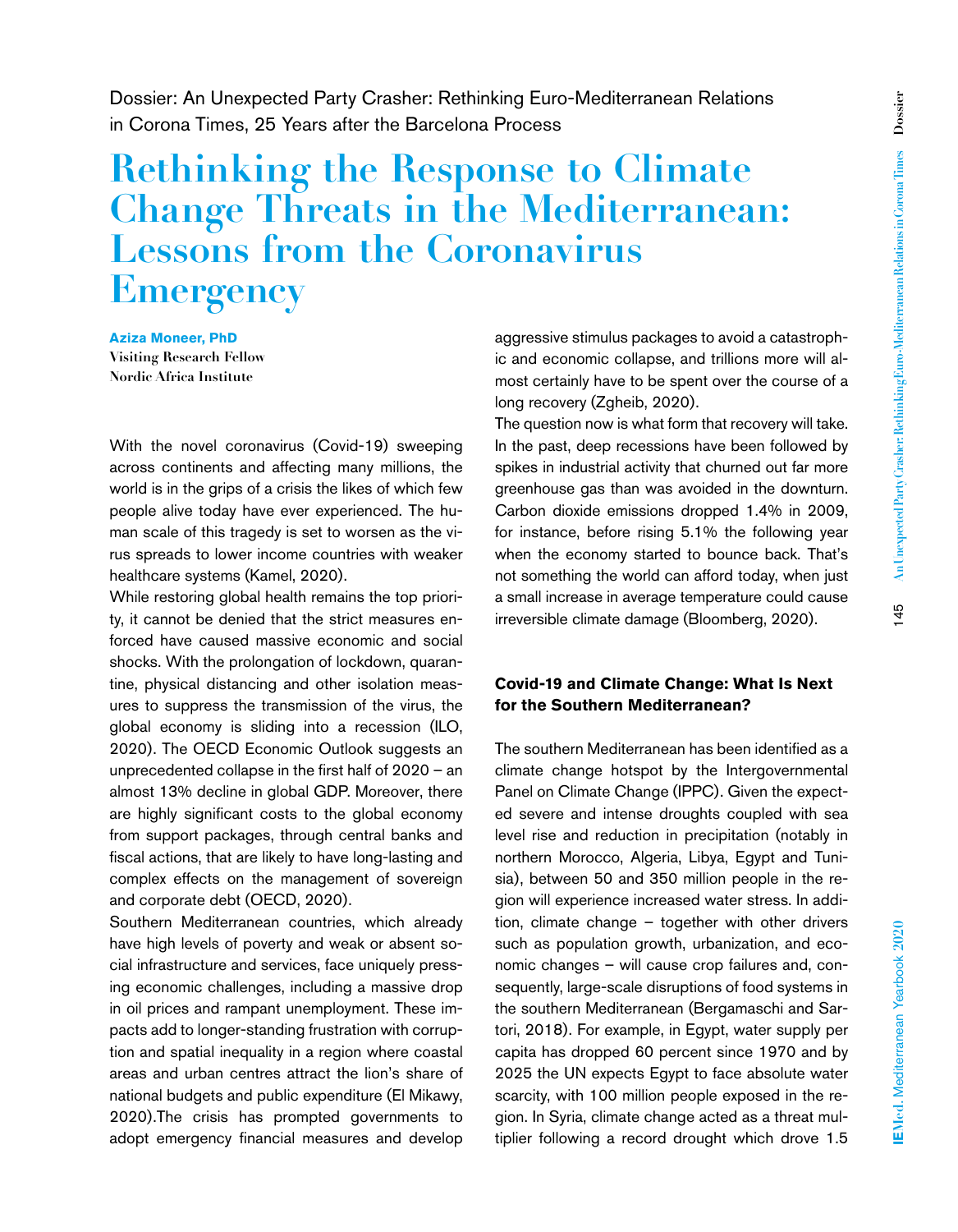Dossier: An Unexpected Party Crasher: Rethinking Euro-Mediterranean Relations in Corona Times, 25 Years after the Barcelona Process

# **Rethinking the Response to Climate Change Threats in the Mediterranean: Lessons from the Coronavirus Emergency**

**Aziza Moneer, PhD Visiting Research Fellow Nordic Africa Institute**

With the novel coronavirus (Covid-19) sweeping across continents and affecting many millions, the world is in the grips of a crisis the likes of which few people alive today have ever experienced. The human scale of this tragedy is set to worsen as the virus spreads to lower income countries with weaker healthcare systems (Kamel, 2020).

While restoring global health remains the top priority, it cannot be denied that the strict measures enforced have caused massive economic and social shocks. With the prolongation of lockdown, quarantine, physical distancing and other isolation measures to suppress the transmission of the virus, the global economy is sliding into a recession (ILO, 2020). The OECD Economic Outlook suggests an unprecedented collapse in the first half of 2020 – an almost 13% decline in global GDP. Moreover, there are highly significant costs to the global economy from support packages, through central banks and fiscal actions, that are likely to have long-lasting and complex effects on the management of sovereign and corporate debt (OECD, 2020).

Southern Mediterranean countries, which already have high levels of poverty and weak or absent social infrastructure and services, face uniquely pressing economic challenges, including a massive drop in oil prices and rampant unemployment. These impacts add to longer-standing frustration with corruption and spatial inequality in a region where coastal areas and urban centres attract the lion's share of national budgets and public expenditure (El Mikawy, 2020).The crisis has prompted governments to adopt emergency financial measures and develop

aggressive stimulus packages to avoid a catastrophic and economic collapse, and trillions more will almost certainly have to be spent over the course of a long recovery (Zgheib, 2020).

The question now is what form that recovery will take. In the past, deep recessions have been followed by spikes in industrial activity that churned out far more greenhouse gas than was avoided in the downturn. Carbon dioxide emissions dropped 1.4% in 2009, for instance, before rising 5.1% the following year when the economy started to bounce back. That's not something the world can afford today, when just a small increase in average temperature could cause irreversible climate damage (Bloomberg, 2020).

## **Covid-19 and Climate Change: What Is Next for the Southern Mediterranean?**

The southern Mediterranean has been identified as a climate change hotspot by the Intergovernmental Panel on Climate Change (IPPC). Given the expected severe and intense droughts coupled with sea level rise and reduction in precipitation (notably in northern Morocco, Algeria, Libya, Egypt and Tunisia), between 50 and 350 million people in the region will experience increased water stress. In addition, climate change – together with other drivers such as population growth, urbanization, and economic changes – will cause crop failures and, consequently, large-scale disruptions of food systems in the southern Mediterranean (Bergamaschi and Sartori, 2018). For example, in Egypt, water supply per capita has dropped 60 percent since 1970 and by 2025 the UN expects Egypt to face absolute water scarcity, with 100 million people exposed in the region. In Syria, climate change acted as a threat multiplier following a record drought which drove 1.5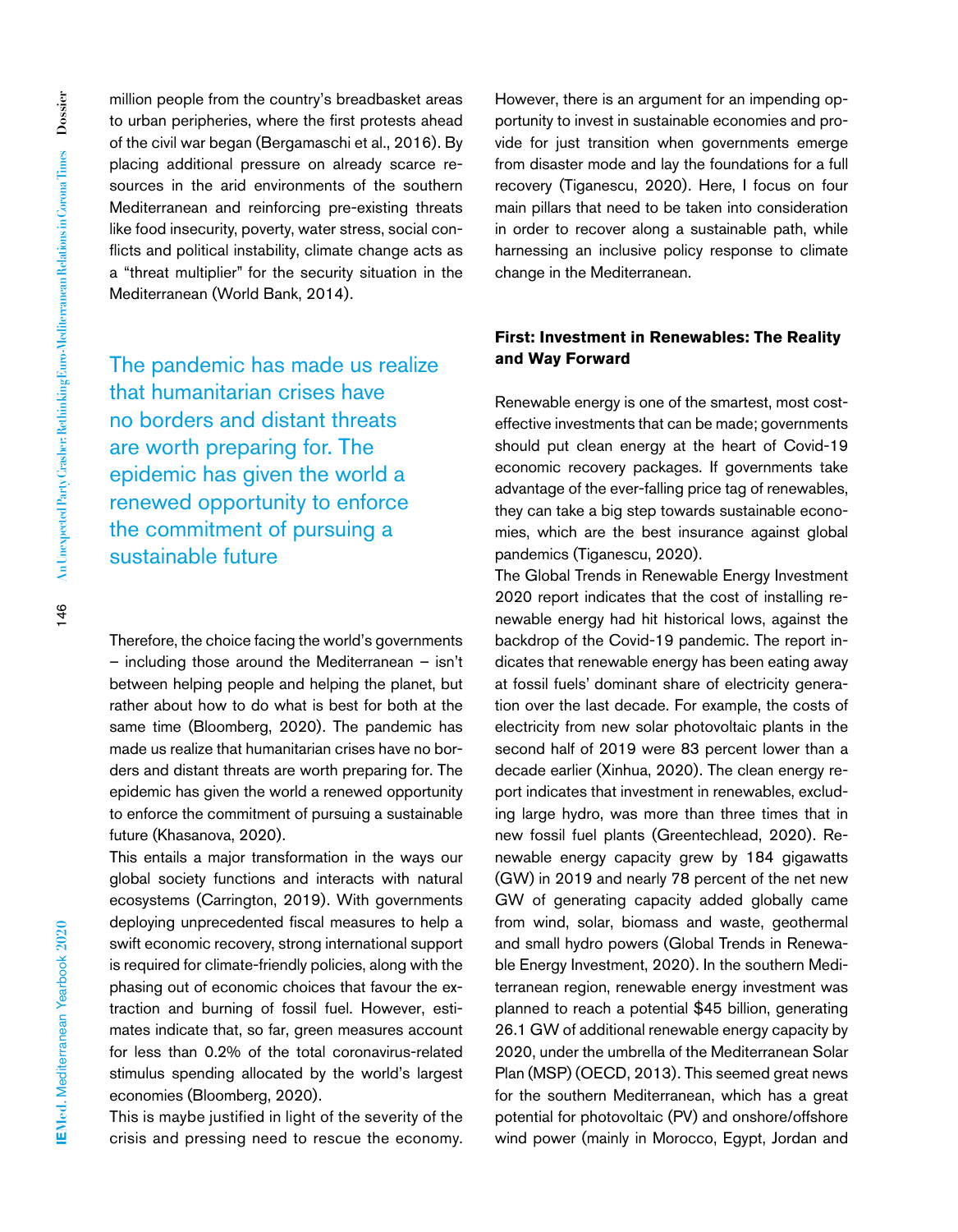million people from the country's breadbasket areas to urban peripheries, where the first protests ahead of the civil war began (Bergamaschi et al., 2016). By placing additional pressure on already scarce resources in the arid environments of the southern Mediterranean and reinforcing pre-existing threats like food insecurity, poverty, water stress, social conflicts and political instability, climate change acts as a "threat multiplier" for the security situation in the Mediterranean (World Bank, 2014).

The pandemic has made us realize that humanitarian crises have no borders and distant threats are worth preparing for. The epidemic has given the world a renewed opportunity to enforce the commitment of pursuing a sustainable future

Therefore, the choice facing the world's governments – including those around the Mediterranean – isn't between helping people and helping the planet, but rather about how to do what is best for both at the same time (Bloomberg, 2020). The pandemic has made us realize that humanitarian crises have no borders and distant threats are worth preparing for. The epidemic has given the world a renewed opportunity to enforce the commitment of pursuing a sustainable future (Khasanova, 2020).

This entails a major transformation in the ways our global society functions and interacts with natural ecosystems (Carrington, 2019). With governments deploying unprecedented fiscal measures to help a swift economic recovery, strong international support is required for climate-friendly policies, along with the phasing out of economic choices that favour the extraction and burning of fossil fuel. However, estimates indicate that, so far, green measures account for less than 0.2% of the total coronavirus-related stimulus spending allocated by the world's largest economies (Bloomberg, 2020).

This is maybe justified in light of the severity of the crisis and pressing need to rescue the economy. However, there is an argument for an impending opportunity to invest in sustainable economies and provide for just transition when governments emerge from disaster mode and lay the foundations for a full recovery (Tiganescu, 2020). Here, I focus on four main pillars that need to be taken into consideration in order to recover along a sustainable path, while harnessing an inclusive policy response to climate change in the Mediterranean.

#### **First: Investment in Renewables: The Reality and Way Forward**

Renewable energy is one of the smartest, most costeffective investments that can be made; governments should put clean energy at the heart of Covid-19 economic recovery packages. If governments take advantage of the ever-falling price tag of renewables, they can take a big step towards sustainable economies, which are the best insurance against global pandemics (Tiganescu, 2020).

The Global Trends in Renewable Energy Investment 2020 report indicates that the cost of installing renewable energy had hit historical lows, against the backdrop of the Covid-19 pandemic. The report indicates that renewable energy has been eating away at fossil fuels' dominant share of electricity generation over the last decade. For example, the costs of electricity from new solar photovoltaic plants in the second half of 2019 were 83 percent lower than a decade earlier (Xinhua, 2020). The clean energy report indicates that investment in renewables, excluding large hydro, was more than three times that in new fossil fuel plants (Greentechlead, 2020). Renewable energy capacity grew by 184 gigawatts (GW) in 2019 and nearly 78 percent of the net new GW of generating capacity added globally came from wind, solar, biomass and waste, geothermal and small hydro powers (Global Trends in Renewable Energy Investment, 2020). In the southern Mediterranean region, renewable energy investment was planned to reach a potential \$45 billion, generating 26.1 GW of additional renewable energy capacity by 2020, under the umbrella of the Mediterranean Solar Plan (MSP) (OECD, 2013). This seemed great news for the southern Mediterranean, which has a great potential for photovoltaic (PV) and onshore/offshore wind power (mainly in Morocco, Egypt, Jordan and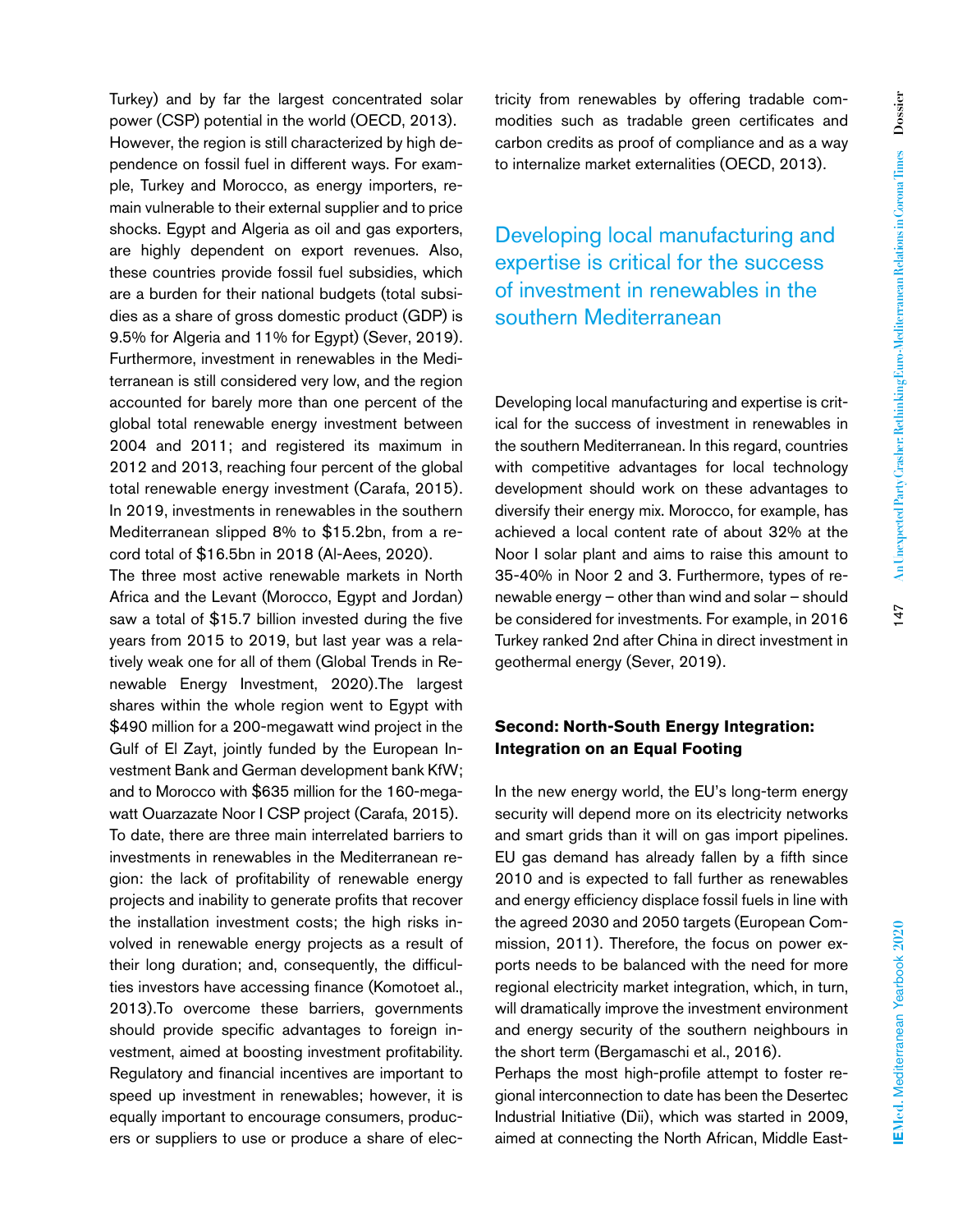Turkey) and by far the largest concentrated solar power (CSP) potential in the world (OECD, 2013). However, the region is still characterized by high dependence on fossil fuel in different ways. For example, Turkey and Morocco, as energy importers, remain vulnerable to their external supplier and to price shocks. Egypt and Algeria as oil and gas exporters, are highly dependent on export revenues. Also, these countries provide fossil fuel subsidies, which are a burden for their national budgets (total subsidies as a share of gross domestic product (GDP) is 9.5% for Algeria and 11% for Egypt) (Sever, 2019). Furthermore, investment in renewables in the Mediterranean is still considered very low, and the region accounted for barely more than one percent of the global total renewable energy investment between 2004 and 2011; and registered its maximum in 2012 and 2013, reaching four percent of the global total renewable energy investment (Carafa, 2015). In 2019, investments in renewables in the southern Mediterranean slipped 8% to \$15.2bn, from a record total of \$16.5bn in 2018 (Al-Aees, 2020).

The three most active renewable markets in North Africa and the Levant (Morocco, Egypt and Jordan) saw a total of \$15.7 billion invested during the five years from 2015 to 2019, but last year was a relatively weak one for all of them (Global Trends in Renewable Energy Investment, 2020).The largest shares within the whole region went to Egypt with \$490 million for a 200-megawatt wind project in the Gulf of El Zayt, jointly funded by the European Investment Bank and German development bank KfW; and to Morocco with \$635 million for the 160-megawatt Ouarzazate Noor I CSP project (Carafa, 2015). To date, there are three main interrelated barriers to investments in renewables in the Mediterranean region: the lack of profitability of renewable energy projects and inability to generate profits that recover the installation investment costs; the high risks involved in renewable energy projects as a result of their long duration; and, consequently, the difficulties investors have accessing finance (Komotoet al., 2013).To overcome these barriers, governments should provide specific advantages to foreign investment, aimed at boosting investment profitability. Regulatory and financial incentives are important to speed up investment in renewables; however, it is equally important to encourage consumers, producers or suppliers to use or produce a share of electricity from renewables by offering tradable commodities such as tradable green certificates and carbon credits as proof of compliance and as a way to internalize market externalities (OECD, 2013).

Developing local manufacturing and expertise is critical for the success of investment in renewables in the southern Mediterranean

Developing local manufacturing and expertise is critical for the success of investment in renewables in the southern Mediterranean. In this regard, countries with competitive advantages for local technology development should work on these advantages to diversify their energy mix. Morocco, for example, has achieved a local content rate of about 32% at the Noor I solar plant and aims to raise this amount to 35-40% in Noor 2 and 3. Furthermore, types of renewable energy – other than wind and solar – should be considered for investments. For example, in 2016 Turkey ranked 2nd after China in direct investment in geothermal energy (Sever, 2019).

#### **Second: North-South Energy Integration: Integration on an Equal Footing**

In the new energy world, the EU's long-term energy security will depend more on its electricity networks and smart grids than it will on gas import pipelines. EU gas demand has already fallen by a fifth since 2010 and is expected to fall further as renewables and energy efficiency displace fossil fuels in line with the agreed 2030 and 2050 targets (European Commission, 2011). Therefore, the focus on power exports needs to be balanced with the need for more regional electricity market integration, which, in turn, will dramatically improve the investment environment and energy security of the southern neighbours in the short term (Bergamaschi et al., 2016).

Perhaps the most high-profile attempt to foster regional interconnection to date has been the Desertec Industrial Initiative (Dii), which was started in 2009, aimed at connecting the North African, Middle East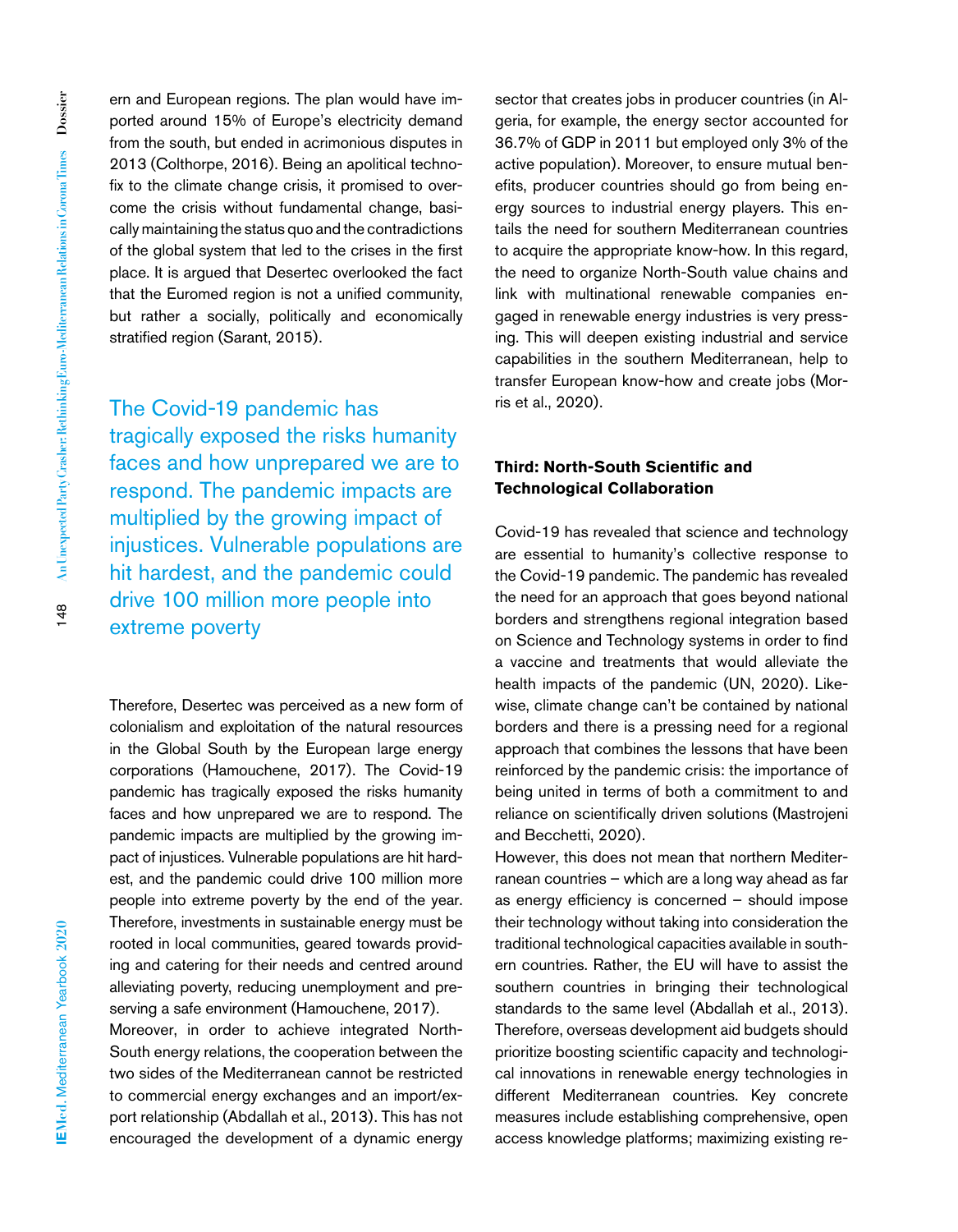ern and European regions. The plan would have imported around 15% of Europe's electricity demand from the south, but ended in acrimonious disputes in 2013 (Colthorpe, 2016). Being an apolitical technofix to the climate change crisis, it promised to overcome the crisis without fundamental change, basically maintaining the status quo and the contradictions of the global system that led to the crises in the first place. It is argued that Desertec overlooked the fact that the Euromed region is not a unified community, but rather a socially, politically and economically stratified region (Sarant, 2015).

The Covid-19 pandemic has tragically exposed the risks humanity faces and how unprepared we are to respond. The pandemic impacts are multiplied by the growing impact of injustices. Vulnerable populations are hit hardest, and the pandemic could drive 100 million more people into extreme poverty

Therefore, Desertec was perceived as a new form of colonialism and exploitation of the natural resources in the Global South by the European large energy corporations (Hamouchene, 2017). The Covid-19 pandemic has tragically exposed the risks humanity faces and how unprepared we are to respond. The pandemic impacts are multiplied by the growing impact of injustices. Vulnerable populations are hit hardest, and the pandemic could drive 100 million more people into extreme poverty by the end of the year. Therefore, investments in sustainable energy must be rooted in local communities, geared towards providing and catering for their needs and centred around alleviating poverty, reducing unemployment and preserving a safe environment (Hamouchene, 2017). Moreover, in order to achieve integrated North-South energy relations, the cooperation between the two sides of the Mediterranean cannot be restricted to commercial energy exchanges and an import/export relationship (Abdallah et al., 2013). This has not encouraged the development of a dynamic energy

sector that creates jobs in producer countries (in Algeria, for example, the energy sector accounted for 36.7% of GDP in 2011 but employed only 3% of the active population). Moreover, to ensure mutual benefits, producer countries should go from being energy sources to industrial energy players. This entails the need for southern Mediterranean countries to acquire the appropriate know-how. In this regard, the need to organize North-South value chains and link with multinational renewable companies engaged in renewable energy industries is very pressing. This will deepen existing industrial and service capabilities in the southern Mediterranean, help to transfer European know-how and create jobs (Morris et al., 2020).

## **Third: North-South Scientific and Technological Collaboration**

Covid-19 has revealed that science and technology are essential to humanity's collective response to the Covid-19 pandemic. The pandemic has revealed the need for an approach that goes beyond national borders and strengthens regional integration based on Science and Technology systems in order to find a vaccine and treatments that would alleviate the health impacts of the pandemic (UN, 2020). Likewise, climate change can't be contained by national borders and there is a pressing need for a regional approach that combines the lessons that have been reinforced by the pandemic crisis: the importance of being united in terms of both a commitment to and reliance on scientifically driven solutions (Mastrojeni and Becchetti, 2020).

However, this does not mean that northern Mediterranean countries – which are a long way ahead as far as energy efficiency is concerned – should impose their technology without taking into consideration the traditional technological capacities available in southern countries. Rather, the EU will have to assist the southern countries in bringing their technological standards to the same level (Abdallah et al., 2013). Therefore, overseas development aid budgets should prioritize boosting scientific capacity and technological innovations in renewable energy technologies in different Mediterranean countries. Key concrete measures include establishing comprehensive, open access knowledge platforms; maximizing existing re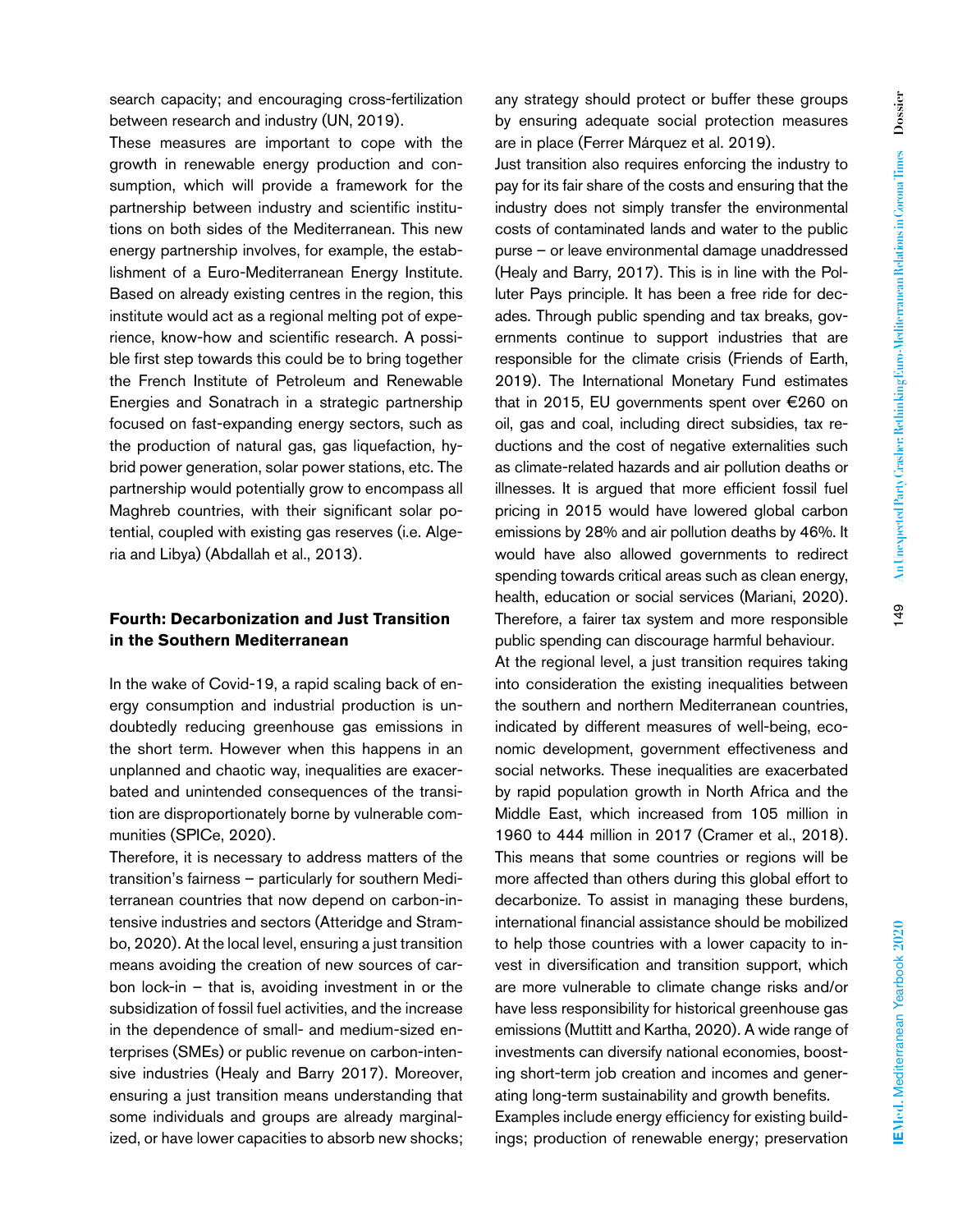These measures are important to cope with the growth in renewable energy production and consumption, which will provide a framework for the partnership between industry and scientific institutions on both sides of the Mediterranean. This new energy partnership involves, for example, the establishment of a Euro-Mediterranean Energy Institute. Based on already existing centres in the region, this institute would act as a regional melting pot of experience, know-how and scientific research. A possible first step towards this could be to bring together the French Institute of Petroleum and Renewable Energies and Sonatrach in a strategic partnership focused on fast-expanding energy sectors, such as the production of natural gas, gas liquefaction, hybrid power generation, solar power stations, etc. The partnership would potentially grow to encompass all Maghreb countries, with their significant solar potential, coupled with existing gas reserves (i.e. Algeria and Libya) (Abdallah et al., 2013).

## **Fourth: Decarbonization and Just Transition in the Southern Mediterranean**

In the wake of Covid-19, a rapid scaling back of energy consumption and industrial production is undoubtedly reducing greenhouse gas emissions in the short term. However when this happens in an unplanned and chaotic way, inequalities are exacerbated and unintended consequences of the transition are disproportionately borne by vulnerable communities (SPICe, 2020).

Therefore, it is necessary to address matters of the transition's fairness – particularly for southern Mediterranean countries that now depend on carbon-intensive industries and sectors (Atteridge and Strambo, 2020). At the local level, ensuring a just transition means avoiding the creation of new sources of carbon lock-in – that is, avoiding investment in or the subsidization of fossil fuel activities, and the increase in the dependence of small- and medium-sized enterprises (SMEs) or public revenue on carbon-intensive industries (Healy and Barry 2017). Moreover, ensuring a just transition means understanding that some individuals and groups are already marginalized, or have lower capacities to absorb new shocks;

any strategy should protect or buffer these groups by ensuring adequate social protection measures are in place (Ferrer Márquez et al. 2019).

Just transition also requires enforcing the industry to pay for its fair share of the costs and ensuring that the industry does not simply transfer the environmental costs of contaminated lands and water to the public purse – or leave environmental damage unaddressed (Healy and Barry, 2017). This is in line with the Polluter Pays principle. It has been a free ride for decades. Through public spending and tax breaks, governments continue to support industries that are responsible for the climate crisis (Friends of Earth, 2019). The International Monetary Fund estimates that in 2015, EU governments spent over €260 on oil, gas and coal, including direct subsidies, tax reductions and the cost of negative externalities such as climate-related hazards and air pollution deaths or illnesses. It is argued that more efficient fossil fuel pricing in 2015 would have lowered global carbon emissions by 28% and air pollution deaths by 46%. It would have also allowed governments to redirect spending towards critical areas such as clean energy, health, education or social services (Mariani, 2020). Therefore, a fairer tax system and more responsible public spending can discourage harmful behaviour.

At the regional level, a just transition requires taking into consideration the existing inequalities between the southern and northern Mediterranean countries, indicated by different measures of well-being, economic development, government effectiveness and social networks. These inequalities are exacerbated by rapid population growth in North Africa and the Middle East, which increased from 105 million in 1960 to 444 million in 2017 (Cramer et al., 2018). This means that some countries or regions will be more affected than others during this global effort to decarbonize. To assist in managing these burdens, international financial assistance should be mobilized to help those countries with a lower capacity to invest in diversification and transition support, which are more vulnerable to climate change risks and/or have less responsibility for historical greenhouse gas emissions (Muttitt and Kartha, 2020). A wide range of investments can diversify national economies, boosting short-term job creation and incomes and generating long-term sustainability and growth benefits. Examples include energy efficiency for existing build-

ings; production of renewable energy; preservation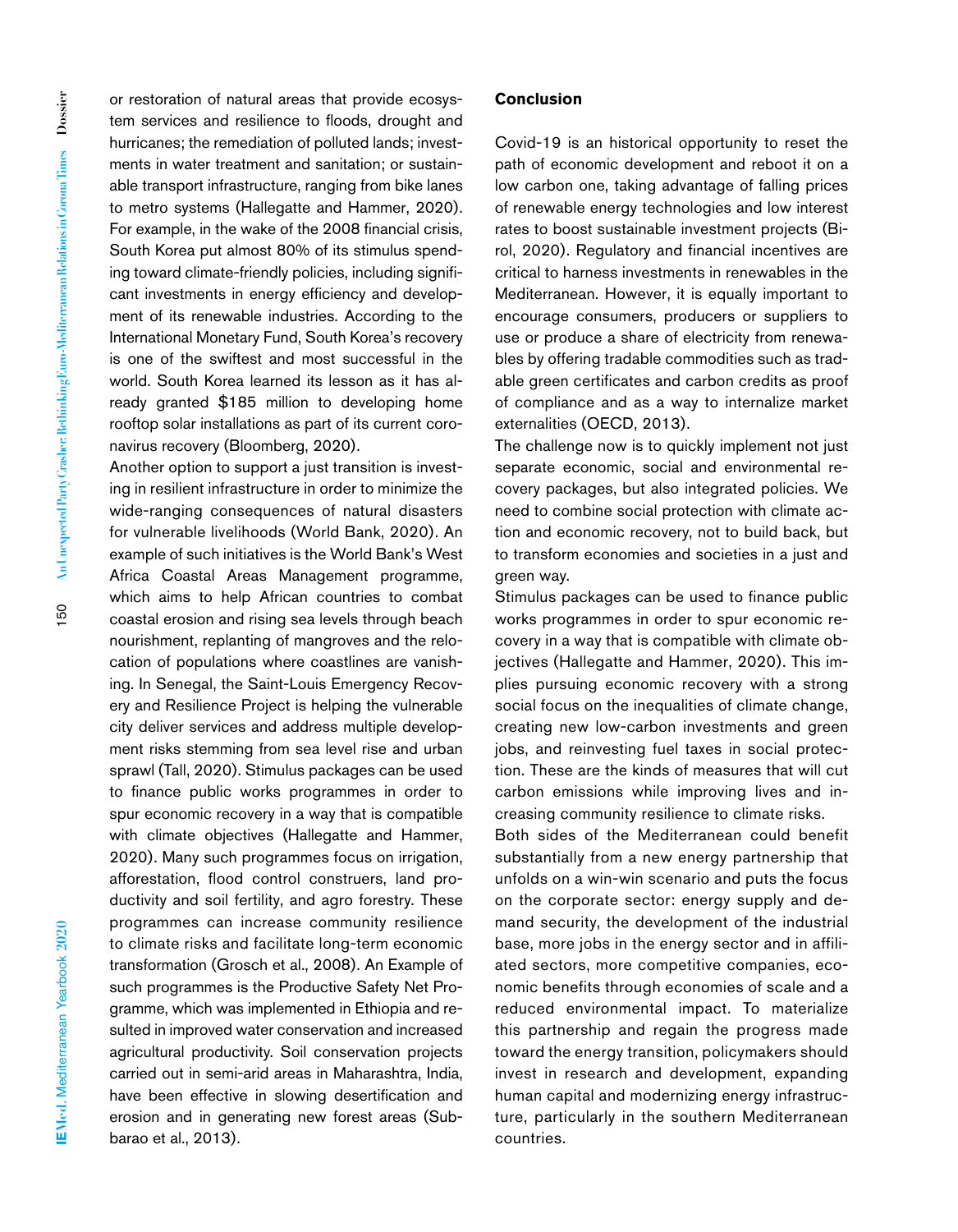or restoration of natural areas that provide ecosystem services and resilience to floods, drought and hurricanes; the remediation of polluted lands; investments in water treatment and sanitation; or sustainable transport infrastructure, ranging from bike lanes to metro systems (Hallegatte and Hammer, 2020). For example, in the wake of the 2008 financial crisis, South Korea put almost 80% of its stimulus spending toward climate-friendly policies, including significant investments in energy efficiency and development of its renewable industries. According to the International Monetary Fund, South Korea's recovery is one of the swiftest and most successful in the world. South Korea learned its lesson as it has already granted \$185 million to developing home rooftop solar installations as part of its current coronavirus recovery (Bloomberg, 2020).

Another option to support a just transition is investing in resilient infrastructure in order to minimize the wide-ranging consequences of natural disasters for vulnerable livelihoods (World Bank, 2020). An example of such initiatives is the World Bank's West Africa Coastal Areas Management programme, which aims to help African countries to combat coastal erosion and rising sea levels through beach nourishment, replanting of mangroves and the relocation of populations where coastlines are vanishing. In Senegal, the Saint-Louis Emergency Recovery and Resilience Project is helping the vulnerable city deliver services and address multiple development risks stemming from sea level rise and urban sprawl (Tall, 2020). Stimulus packages can be used to finance public works programmes in order to spur economic recovery in a way that is compatible with climate objectives (Hallegatte and Hammer, 2020). Many such programmes focus on irrigation, afforestation, flood control construers, land productivity and soil fertility, and agro forestry. These programmes can increase community resilience to climate risks and facilitate long-term economic transformation (Grosch et al., 2008). An Example of such programmes is the Productive Safety Net Programme, which was implemented in Ethiopia and resulted in improved water conservation and increased agricultural productivity. Soil conservation projects carried out in semi-arid areas in Maharashtra, India, have been effective in slowing desertification and erosion and in generating new forest areas (Subbarao et al., 2013).

#### **Conclusion**

Covid-19 is an historical opportunity to reset the path of economic development and reboot it on a low carbon one, taking advantage of falling prices of renewable energy technologies and low interest rates to boost sustainable investment projects (Birol, 2020). Regulatory and financial incentives are critical to harness investments in renewables in the Mediterranean. However, it is equally important to encourage consumers, producers or suppliers to use or produce a share of electricity from renewables by offering tradable commodities such as tradable green certificates and carbon credits as proof of compliance and as a way to internalize market externalities (OECD, 2013).

The challenge now is to quickly implement not just separate economic, social and environmental recovery packages, but also integrated policies. We need to combine social protection with climate action and economic recovery, not to build back, but to transform economies and societies in a just and green way.

Stimulus packages can be used to finance public works programmes in order to spur economic recovery in a way that is compatible with climate objectives (Hallegatte and Hammer, 2020). This implies pursuing economic recovery with a strong social focus on the inequalities of climate change, creating new low-carbon investments and green jobs, and reinvesting fuel taxes in social protection. These are the kinds of measures that will cut carbon emissions while improving lives and increasing community resilience to climate risks.

Both sides of the Mediterranean could benefit substantially from a new energy partnership that unfolds on a win-win scenario and puts the focus on the corporate sector: energy supply and demand security, the development of the industrial base, more jobs in the energy sector and in affiliated sectors, more competitive companies, economic benefits through economies of scale and a reduced environmental impact. To materialize this partnership and regain the progress made toward the energy transition, policymakers should invest in research and development, expanding human capital and modernizing energy infrastructure, particularly in the southern Mediterranean countries.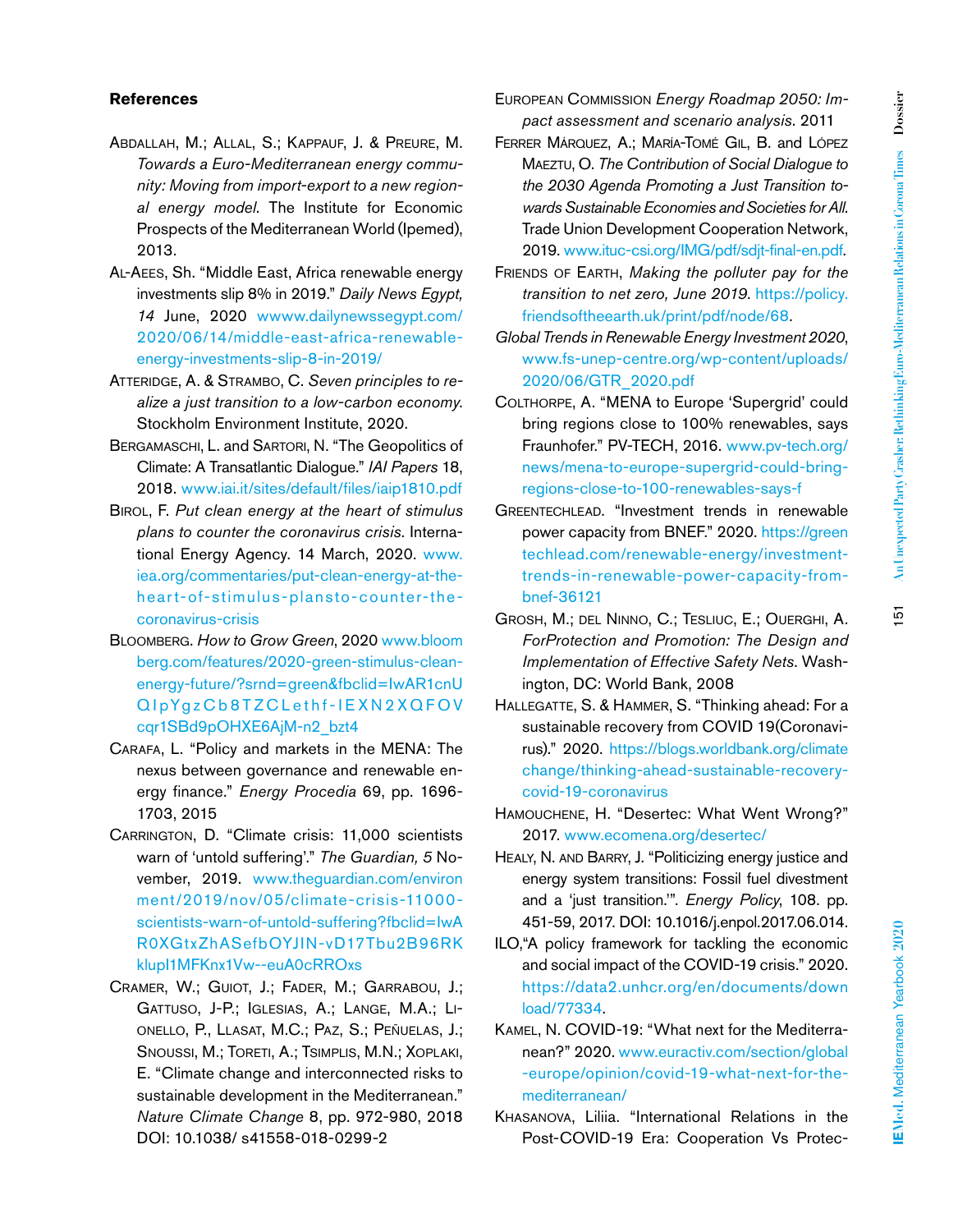#### **References**

- Abdallah, M.; Allal, S.; Kappauf, J. & Preure, M. *Towards a Euro-Mediterranean energy community: Moving from import-export to a new regional energy model*. The Institute for Economic Prospects of the Mediterranean World (Ipemed), 2013.
- Al-Aees, Sh. "Middle East, Africa renewable energy investments slip 8% in 2019." *Daily News Egypt, 14* June, 2020 [wwww.dailynewssegypt.com/](http://wwww.dailynewssegypt.com/2020/06/14/middle-east-africa-renewable-energy-investments-slip-8-in-2019/) [2020/06/14/middle-east-africa-renewable](http://wwww.dailynewssegypt.com/2020/06/14/middle-east-africa-renewable-energy-investments-slip-8-in-2019/)[energy-investments-slip-8-in-2019/](http://wwww.dailynewssegypt.com/2020/06/14/middle-east-africa-renewable-energy-investments-slip-8-in-2019/)
- Atteridge, A. & Strambo, C. *Seven principles to realize a just transition to a low-carbon economy*. Stockholm Environment Institute, 2020.
- Bergamaschi, L. and Sartori, N. "The Geopolitics of Climate: A Transatlantic Dialogue." *IAI Papers* 18, 2018. [www.iai.it/sites/default/files/iaip1810.pdf](http://www.iai.it/sites/default/files/iaip1810.pdf)
- Birol, F. *Put clean energy at the heart of stimulus plans to counter the coronavirus crisis.* International Energy Agency. 14 March, 2020. [www.](http://www.iea.org/commentaries/put-clean-energy-at-the-heart-of-stimulus-plansto-counter-the-coronavirus-crisis) [iea.org/commentaries/put-clean-energy-at-the](http://www.iea.org/commentaries/put-clean-energy-at-the-heart-of-stimulus-plansto-counter-the-coronavirus-crisis)[heart-of-stimulus-plansto-counter-the](http://www.iea.org/commentaries/put-clean-energy-at-the-heart-of-stimulus-plansto-counter-the-coronavirus-crisis)[coronavirus-crisis](http://www.iea.org/commentaries/put-clean-energy-at-the-heart-of-stimulus-plansto-counter-the-coronavirus-crisis)
- Bloomberg. *How to Grow Green*, 2020 [www.bloom](http://www.bloomberg.com/features/2020-green-stimulus-clean-energy-future/?srnd=green&fbclid=IwAR1cnUQIpYgzCb8TZCLethf-IEXN2XQFOVcqr1SBd9pOHXE6AjM-n2_bzt4) [berg.com/features/2020-green-stimulus-clean](http://www.bloomberg.com/features/2020-green-stimulus-clean-energy-future/?srnd=green&fbclid=IwAR1cnUQIpYgzCb8TZCLethf-IEXN2XQFOVcqr1SBd9pOHXE6AjM-n2_bzt4)[energy-future/?srnd=green&fbclid=IwAR1cnU](http://www.bloomberg.com/features/2020-green-stimulus-clean-energy-future/?srnd=green&fbclid=IwAR1cnUQIpYgzCb8TZCLethf-IEXN2XQFOVcqr1SBd9pOHXE6AjM-n2_bzt4) [QIpYgzCb8TZCLethf-IEXN2XQFOV](http://www.bloomberg.com/features/2020-green-stimulus-clean-energy-future/?srnd=green&fbclid=IwAR1cnUQIpYgzCb8TZCLethf-IEXN2XQFOVcqr1SBd9pOHXE6AjM-n2_bzt4) [cqr1SBd9pOHXE6AjM-n2\\_bzt4](http://www.bloomberg.com/features/2020-green-stimulus-clean-energy-future/?srnd=green&fbclid=IwAR1cnUQIpYgzCb8TZCLethf-IEXN2XQFOVcqr1SBd9pOHXE6AjM-n2_bzt4)
- Carafa, L. "Policy and markets in the MENA: The nexus between governance and renewable energy finance." *Energy Procedia* 69, pp. 1696- 1703, 2015
- CARRINGTON, D. "Climate crisis: 11,000 scientists warn of 'untold suffering'." *The Guardian, 5* November, 2019. [www.theguardian.com/environ](http://www.theguardian.com/environ
ment/2019/nov/05/climate-crisis-11000-scientists-warn-of-untold-suffering?fbclid=IwAR0XGtxZhASefbOYJIN-vD17Tbu2B96RKklupI1MFKnx1Vw--euA0cRROxs) [ment/2019/nov/05/climate-crisis-11000](http://www.theguardian.com/environ
ment/2019/nov/05/climate-crisis-11000-scientists-warn-of-untold-suffering?fbclid=IwAR0XGtxZhASefbOYJIN-vD17Tbu2B96RKklupI1MFKnx1Vw--euA0cRROxs) [scientists-warn-of-untold-suffering?fbclid=IwA](http://www.theguardian.com/environ
ment/2019/nov/05/climate-crisis-11000-scientists-warn-of-untold-suffering?fbclid=IwAR0XGtxZhASefbOYJIN-vD17Tbu2B96RKklupI1MFKnx1Vw--euA0cRROxs) [R0XGtxZhASefbOYJIN-vD17Tbu2B96RK](http://www.theguardian.com/environ
ment/2019/nov/05/climate-crisis-11000-scientists-warn-of-untold-suffering?fbclid=IwAR0XGtxZhASefbOYJIN-vD17Tbu2B96RKklupI1MFKnx1Vw--euA0cRROxs) [klupI1MFKnx1Vw--euA0cRROxs](http://www.theguardian.com/environ
ment/2019/nov/05/climate-crisis-11000-scientists-warn-of-untold-suffering?fbclid=IwAR0XGtxZhASefbOYJIN-vD17Tbu2B96RKklupI1MFKnx1Vw--euA0cRROxs)
- Cramer, W.; Guiot, J.; Fader, M.; Garrabou, J.; Gattuso, J-P.; Iglesias, A.; Lange, M.A.; Lionello, P., Llasat, M.C.; Paz, S.; Peñuelas, J.; Snoussi, M.; Toreti, A.; Tsimplis, M.N.; Xoplaki, E. "Climate change and interconnected risks to sustainable development in the Mediterranean." *Nature Climate Change* 8, pp. 972-980, 2018 DOI: 10.1038/ s41558-018-0299-2
- European Commission *Energy Roadmap 2050: Impact assessment and scenario analysis*. 2011
- Ferrer Márquez, A.; María-Tomé Gil, B. and López Maeztu, O. *The Contribution of Social Dialogue to the 2030 Agenda Promoting a Just Transition towards Sustainable Economies and Societies for All*. Trade Union Development Cooperation Network, 2019. [www.ituc-csi.org/IMG/pdf/sdjt-final-en.pdf.](http://www.ituc-csi.org/IMG/pdf/sdjt-final-en.pdf)
- Friends of Earth, *Making the polluter pay for the transition to net zero, June 2019*. [https://policy.](https://policy.friendsoftheearth.uk/print/pdf/node/68) [friendsoftheearth.uk/print/pdf/node/68.](https://policy.friendsoftheearth.uk/print/pdf/node/68)
- *Global Trends in Renewable Energy Investment 2020*, [www.fs-unep-centre.org/wp-content/uploads/](http://www.fs-unep-centre.org/wp-content/uploads/2020/06/GTR_2020.pdf) [2020/06/GTR\\_2020.pdf](http://www.fs-unep-centre.org/wp-content/uploads/2020/06/GTR_2020.pdf)
- Colthorpe, A. "MENA to Europe 'Supergrid' could bring regions close to 100% renewables, says Fraunhofer." PV-TECH, 2016. [www.pv-tech.org/](http://www.pv-tech.org/news/mena-to-europe-supergrid-could-bring-regions-close-to-100-renewables-says-f) [news/mena-to-europe-supergrid-could-bring](http://www.pv-tech.org/news/mena-to-europe-supergrid-could-bring-regions-close-to-100-renewables-says-f)[regions-close-to-100-renewables-says-f](http://www.pv-tech.org/news/mena-to-europe-supergrid-could-bring-regions-close-to-100-renewables-says-f)
- Greentechlead. "Investment trends in renewable power capacity from BNEF." 2020. [https://green](https://greentechlead.com/renewable-energy/investment-trends-in-renewable-power-capacity-from-bnef-36121) [techlead.com/renewable-energy/investment](https://greentechlead.com/renewable-energy/investment-trends-in-renewable-power-capacity-from-bnef-36121)[trends-in-renewable-power-capacity-from](https://greentechlead.com/renewable-energy/investment-trends-in-renewable-power-capacity-from-bnef-36121)[bnef-36121](https://greentechlead.com/renewable-energy/investment-trends-in-renewable-power-capacity-from-bnef-36121)
- Grosh, M.; del Ninno, C.; Tesliuc, E.; Ouerghi, A. *ForProtection and Promotion: The Design and Implementation of Effective Safety Nets*. Washington, DC: World Bank, 2008
- Hallegatte, S. & Hammer, S. "Thinking ahead: For a sustainable recovery from COVID 19(Coronavirus)." 2020. [https://blogs.worldbank.org/climate](https://blogs.worldbank.org/climatechange/thinking-ahead-sustainable-recovery-covid-19-coronavirus) [change/thinking-ahead-sustainable-recovery](https://blogs.worldbank.org/climatechange/thinking-ahead-sustainable-recovery-covid-19-coronavirus)[covid-19-coronavirus](https://blogs.worldbank.org/climatechange/thinking-ahead-sustainable-recovery-covid-19-coronavirus)
- Hamouchene, H. "Desertec: What Went Wrong?" 2017. [www.ecomena.org/desertec/](http://www.ecomena.org/desertec/)
- HEALY, N. AND BARRY, J. "Politicizing energy justice and energy system transitions: Fossil fuel divestment and a 'just transition.'". *Energy Policy*, 108. pp. 451-59, 2017. DOI: 10.1016/j.enpol.2017.06.014.
- ILO,"A policy framework for tackling the economic and social impact of the COVID-19 crisis." 2020. [https://data2.unhcr.org/en/documents/down](https://data2.unhcr.org/en/documents/download/77334) [load/77334](https://data2.unhcr.org/en/documents/download/77334).
- Kamel, N. COVID-19: "What next for the Mediterranean?" 2020. [www.euractiv.com/section/global](http://www.euractiv.com/section/global-europe/opinion/covid-19-what-next-for-the-mediterranean/) [-europe/opinion/covid-19-what-next-for-the](http://www.euractiv.com/section/global-europe/opinion/covid-19-what-next-for-the-mediterranean/)[mediterranean/](http://www.euractiv.com/section/global-europe/opinion/covid-19-what-next-for-the-mediterranean/)
- Khasanova, Liliia. "International Relations in the Post-COVID-19 Era: Cooperation Vs Protec-